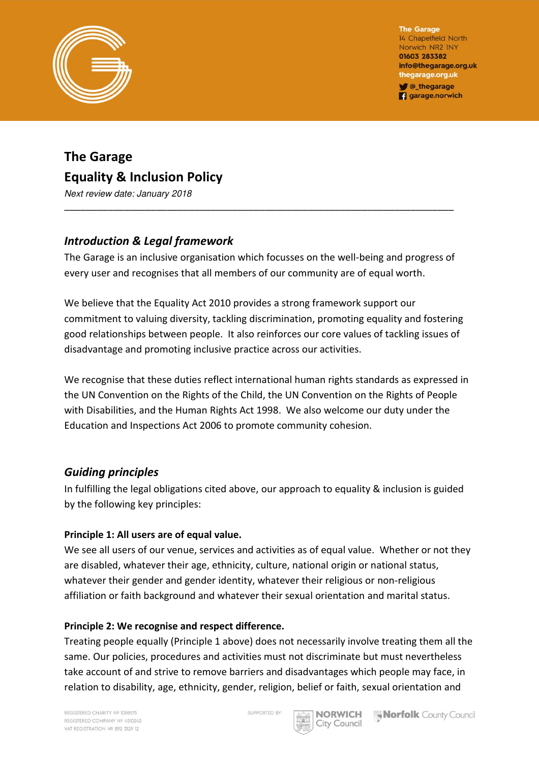

The Garage 14 Chapelfield North Norwich NR2 INY 01603 283382 info@thegarage.org.uk thegarage.org.uk C\_thegarage **q** garage.norwich

# **The Garage Equality & Inclusion Policy**

Next review date: January 2018

# *Introduction & Legal framework*

The Garage is an inclusive organisation which focusses on the well-being and progress of every user and recognises that all members of our community are of equal worth.

\_\_\_\_\_\_\_\_\_\_\_\_\_\_\_\_\_\_\_\_\_\_\_\_\_\_\_\_\_\_\_\_\_\_\_\_\_\_\_\_\_\_\_\_\_\_\_\_\_\_\_\_\_\_\_\_\_\_\_\_\_\_\_\_\_\_\_\_\_\_\_\_

We believe that the Equality Act 2010 provides a strong framework support our commitment to valuing diversity, tackling discrimination, promoting equality and fostering good relationships between people. It also reinforces our core values of tackling issues of disadvantage and promoting inclusive practice across our activities.

We recognise that these duties reflect international human rights standards as expressed in the UN Convention on the Rights of the Child, the UN Convention on the Rights of People with Disabilities, and the Human Rights Act 1998. We also welcome our duty under the Education and Inspections Act 2006 to promote community cohesion.

# *Guiding principles*

In fulfilling the legal obligations cited above, our approach to equality & inclusion is guided by the following key principles:

# **Principle 1: All users are of equal value.**

We see all users of our venue, services and activities as of equal value. Whether or not they are disabled, whatever their age, ethnicity, culture, national origin or national status, whatever their gender and gender identity, whatever their religious or non-religious affiliation or faith background and whatever their sexual orientation and marital status.

#### **Principle 2: We recognise and respect difference.**

Treating people equally (Principle 1 above) does not necessarily involve treating them all the same. Our policies, procedures and activities must not discriminate but must nevertheless take account of and strive to remove barriers and disadvantages which people may face, in relation to disability, age, ethnicity, gender, religion, belief or faith, sexual orientation and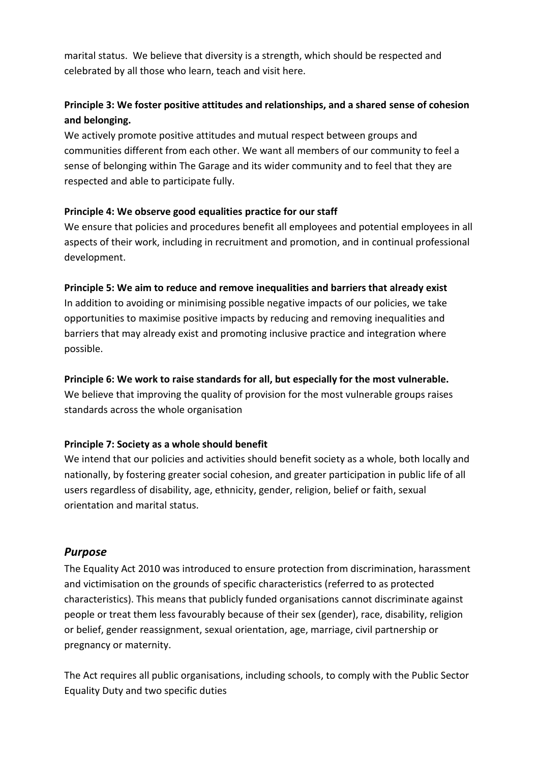marital status. We believe that diversity is a strength, which should be respected and celebrated by all those who learn, teach and visit here.

# **Principle 3: We foster positive attitudes and relationships, and a shared sense of cohesion and belonging.**

We actively promote positive attitudes and mutual respect between groups and communities different from each other. We want all members of our community to feel a sense of belonging within The Garage and its wider community and to feel that they are respected and able to participate fully.

#### **Principle 4: We observe good equalities practice for our staff**

We ensure that policies and procedures benefit all employees and potential employees in all aspects of their work, including in recruitment and promotion, and in continual professional development.

## **Principle 5: We aim to reduce and remove inequalities and barriers that already exist**

In addition to avoiding or minimising possible negative impacts of our policies, we take opportunities to maximise positive impacts by reducing and removing inequalities and barriers that may already exist and promoting inclusive practice and integration where possible.

#### **Principle 6: We work to raise standards for all, but especially for the most vulnerable.**

We believe that improving the quality of provision for the most vulnerable groups raises standards across the whole organisation

#### **Principle 7: Society as a whole should benefit**

We intend that our policies and activities should benefit society as a whole, both locally and nationally, by fostering greater social cohesion, and greater participation in public life of all users regardless of disability, age, ethnicity, gender, religion, belief or faith, sexual orientation and marital status.

# *Purpose*

The Equality Act 2010 was introduced to ensure protection from discrimination, harassment and victimisation on the grounds of specific characteristics (referred to as protected characteristics). This means that publicly funded organisations cannot discriminate against people or treat them less favourably because of their sex (gender), race, disability, religion or belief, gender reassignment, sexual orientation, age, marriage, civil partnership or pregnancy or maternity.

The Act requires all public organisations, including schools, to comply with the Public Sector Equality Duty and two specific duties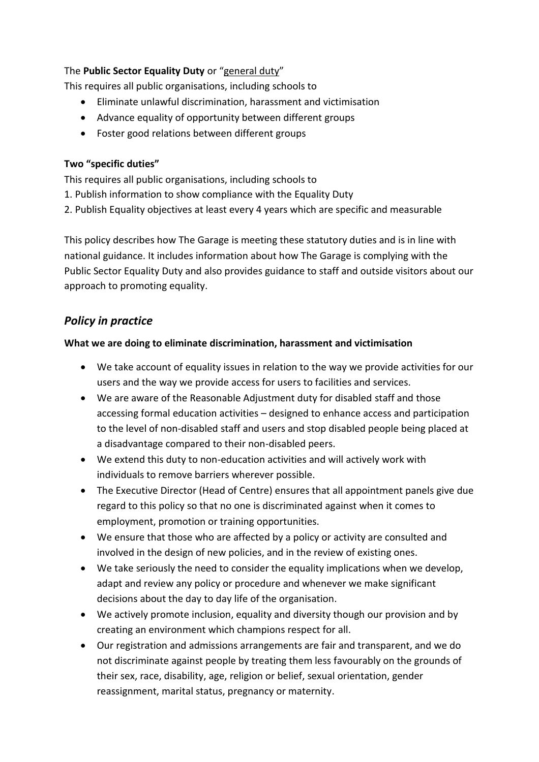## The **Public Sector Equality Duty** or "general duty"

This requires all public organisations, including schools to

- Eliminate unlawful discrimination, harassment and victimisation
- Advance equality of opportunity between different groups
- Foster good relations between different groups

#### **Two "specific duties"**

This requires all public organisations, including schools to

- 1. Publish information to show compliance with the Equality Duty
- 2. Publish Equality objectives at least every 4 years which are specific and measurable

This policy describes how The Garage is meeting these statutory duties and is in line with national guidance. It includes information about how The Garage is complying with the Public Sector Equality Duty and also provides guidance to staff and outside visitors about our approach to promoting equality.

# *Policy in practice*

## **What we are doing to eliminate discrimination, harassment and victimisation**

- We take account of equality issues in relation to the way we provide activities for our users and the way we provide access for users to facilities and services.
- We are aware of the Reasonable Adjustment duty for disabled staff and those accessing formal education activities – designed to enhance access and participation to the level of non-disabled staff and users and stop disabled people being placed at a disadvantage compared to their non-disabled peers.
- We extend this duty to non-education activities and will actively work with individuals to remove barriers wherever possible.
- The Executive Director (Head of Centre) ensures that all appointment panels give due regard to this policy so that no one is discriminated against when it comes to employment, promotion or training opportunities.
- We ensure that those who are affected by a policy or activity are consulted and involved in the design of new policies, and in the review of existing ones.
- We take seriously the need to consider the equality implications when we develop, adapt and review any policy or procedure and whenever we make significant decisions about the day to day life of the organisation.
- We actively promote inclusion, equality and diversity though our provision and by creating an environment which champions respect for all.
- Our registration and admissions arrangements are fair and transparent, and we do not discriminate against people by treating them less favourably on the grounds of their sex, race, disability, age, religion or belief, sexual orientation, gender reassignment, marital status, pregnancy or maternity.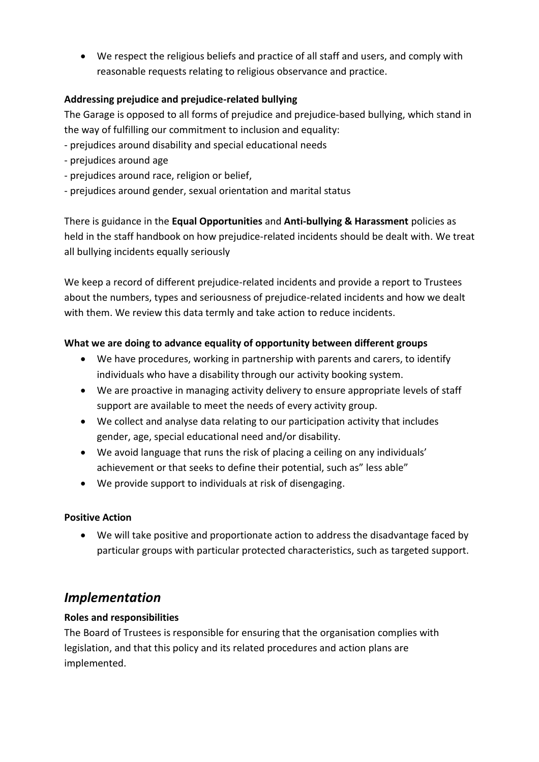We respect the religious beliefs and practice of all staff and users, and comply with reasonable requests relating to religious observance and practice.

## **Addressing prejudice and prejudice-related bullying**

The Garage is opposed to all forms of prejudice and prejudice-based bullying, which stand in the way of fulfilling our commitment to inclusion and equality:

- prejudices around disability and special educational needs
- prejudices around age
- prejudices around race, religion or belief,
- prejudices around gender, sexual orientation and marital status

There is guidance in the **Equal Opportunities** and **Anti-bullying & Harassment** policies as held in the staff handbook on how prejudice-related incidents should be dealt with. We treat all bullying incidents equally seriously

We keep a record of different prejudice-related incidents and provide a report to Trustees about the numbers, types and seriousness of prejudice-related incidents and how we dealt with them. We review this data termly and take action to reduce incidents.

# **What we are doing to advance equality of opportunity between different groups**

- We have procedures, working in partnership with parents and carers, to identify individuals who have a disability through our activity booking system.
- We are proactive in managing activity delivery to ensure appropriate levels of staff support are available to meet the needs of every activity group.
- We collect and analyse data relating to our participation activity that includes gender, age, special educational need and/or disability.
- We avoid language that runs the risk of placing a ceiling on any individuals' achievement or that seeks to define their potential, such as" less able"
- We provide support to individuals at risk of disengaging.

# **Positive Action**

 We will take positive and proportionate action to address the disadvantage faced by particular groups with particular protected characteristics, such as targeted support.

# *Implementation*

# **Roles and responsibilities**

The Board of Trustees is responsible for ensuring that the organisation complies with legislation, and that this policy and its related procedures and action plans are implemented.